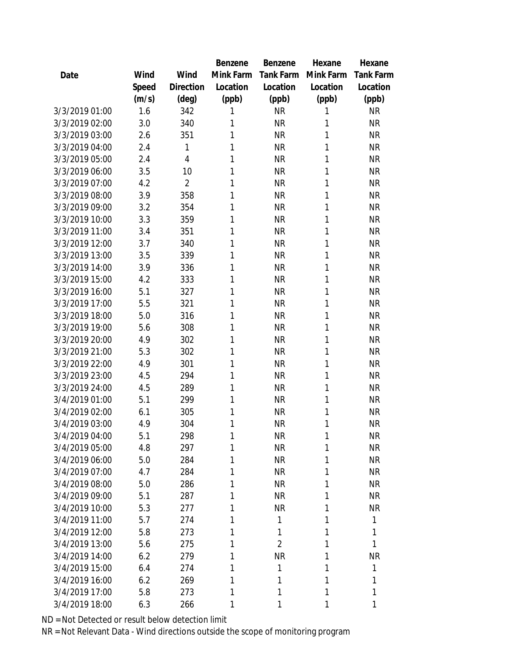|                |       |                | Benzene   | Benzene        | Hexane    | Hexane           |
|----------------|-------|----------------|-----------|----------------|-----------|------------------|
| Date           | Wind  | Wind           | Mink Farm | Tank Farm      | Mink Farm | <b>Tank Farm</b> |
|                | Speed | Direction      | Location  | Location       | Location  | Location         |
|                | (m/s) | (deg)          | (ppb)     | (ppb)          | (ppb)     | (ppb)            |
| 3/3/2019 01:00 | 1.6   | 342            | 1         | <b>NR</b>      | 1         | <b>NR</b>        |
| 3/3/2019 02:00 | 3.0   | 340            | 1         | <b>NR</b>      | 1         | <b>NR</b>        |
| 3/3/2019 03:00 | 2.6   | 351            | 1         | <b>NR</b>      | 1         | <b>NR</b>        |
| 3/3/2019 04:00 | 2.4   | 1              | 1         | <b>NR</b>      | 1         | <b>NR</b>        |
| 3/3/2019 05:00 | 2.4   | 4              | 1         | <b>NR</b>      | 1         | <b>NR</b>        |
| 3/3/2019 06:00 | 3.5   | 10             | 1         | <b>NR</b>      | 1         | <b>NR</b>        |
| 3/3/2019 07:00 | 4.2   | $\overline{2}$ | 1         | <b>NR</b>      | 1         | <b>NR</b>        |
| 3/3/2019 08:00 | 3.9   | 358            | 1         | <b>NR</b>      | 1         | <b>NR</b>        |
| 3/3/2019 09:00 | 3.2   | 354            | 1         | <b>NR</b>      | 1         | <b>NR</b>        |
| 3/3/2019 10:00 | 3.3   | 359            | 1         | <b>NR</b>      | 1         | <b>NR</b>        |
| 3/3/2019 11:00 | 3.4   | 351            | 1         | <b>NR</b>      | 1         | <b>NR</b>        |
| 3/3/2019 12:00 | 3.7   | 340            | 1         | <b>NR</b>      | 1         | <b>NR</b>        |
| 3/3/2019 13:00 | 3.5   | 339            | 1         | <b>NR</b>      | 1         | <b>NR</b>        |
| 3/3/2019 14:00 | 3.9   | 336            | 1         | <b>NR</b>      | 1         | <b>NR</b>        |
| 3/3/2019 15:00 | 4.2   | 333            | 1         | <b>NR</b>      | 1         | <b>NR</b>        |
| 3/3/2019 16:00 | 5.1   | 327            | 1         | <b>NR</b>      | 1         | <b>NR</b>        |
| 3/3/2019 17:00 | 5.5   | 321            | 1         | <b>NR</b>      | 1         | <b>NR</b>        |
| 3/3/2019 18:00 | 5.0   | 316            | 1         | <b>NR</b>      | 1         | <b>NR</b>        |
| 3/3/2019 19:00 | 5.6   | 308            | 1         | <b>NR</b>      | 1         | <b>NR</b>        |
| 3/3/2019 20:00 | 4.9   | 302            | 1         | <b>NR</b>      | 1         | ΝR               |
| 3/3/2019 21:00 | 5.3   | 302            | 1         | <b>NR</b>      | 1         | <b>NR</b>        |
| 3/3/2019 22:00 | 4.9   | 301            | 1         | <b>NR</b>      | 1         | <b>NR</b>        |
| 3/3/2019 23:00 | 4.5   | 294            | 1         | <b>NR</b>      | 1         | <b>NR</b>        |
| 3/3/2019 24:00 | 4.5   | 289            | 1         | <b>NR</b>      | 1         | <b>NR</b>        |
| 3/4/2019 01:00 | 5.1   | 299            | 1         | <b>NR</b>      | 1         | <b>NR</b>        |
| 3/4/2019 02:00 | 6.1   | 305            | 1         | <b>NR</b>      | 1         | <b>NR</b>        |
| 3/4/2019 03:00 | 4.9   | 304            | 1         | <b>NR</b>      | 1         | <b>NR</b>        |
| 3/4/2019 04:00 | 5.1   | 298            | 1         | <b>NR</b>      | 1         | <b>NR</b>        |
| 3/4/2019 05:00 | 4.8   | 297            | 1         | <b>NR</b>      | 1         | <b>NR</b>        |
| 3/4/2019 06:00 | 5.0   | 284            | 1         | <b>NR</b>      | 1         | <b>NR</b>        |
| 3/4/2019 07:00 | 4.7   | 284            | 1         | <b>NR</b>      | 1         | <b>NR</b>        |
| 3/4/2019 08:00 | 5.0   | 286            | 1         | <b>NR</b>      | 1         | <b>NR</b>        |
| 3/4/2019 09:00 | 5.1   | 287            | 1         | <b>NR</b>      | 1         | <b>NR</b>        |
| 3/4/2019 10:00 | 5.3   | 277            | 1         | <b>NR</b>      | 1         | <b>NR</b>        |
| 3/4/2019 11:00 | 5.7   | 274            | 1         | 1              | 1         | 1                |
| 3/4/2019 12:00 | 5.8   | 273            | 1         | 1              | 1         | 1                |
| 3/4/2019 13:00 | 5.6   | 275            | 1         | $\overline{2}$ | 1         | 1                |
| 3/4/2019 14:00 | 6.2   | 279            | 1         | <b>NR</b>      | 1         | <b>NR</b>        |
| 3/4/2019 15:00 | 6.4   | 274            | 1         | 1              | 1         | 1                |
| 3/4/2019 16:00 | 6.2   | 269            | 1         | 1              | 1         | 1                |
| 3/4/2019 17:00 | 5.8   | 273            | 1         | 1              | 1         | 1                |
| 3/4/2019 18:00 | 6.3   | 266            | 1         | 1              | 1         | 1                |
|                |       |                |           |                |           |                  |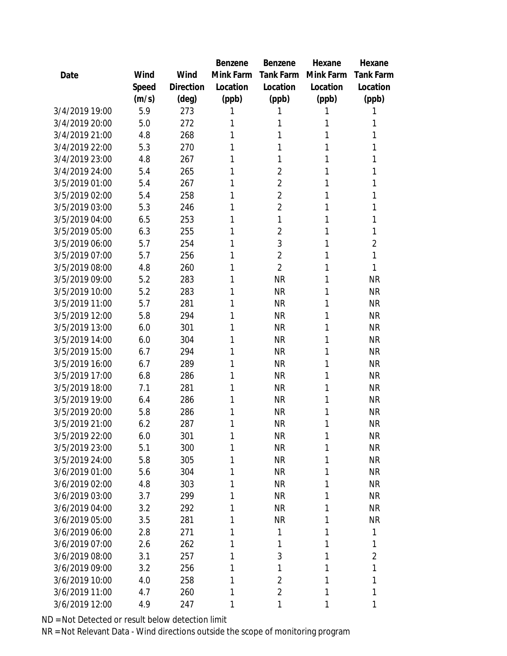|                |       |           | Benzene   | <b>Benzene</b> | Hexane    | Hexane         |
|----------------|-------|-----------|-----------|----------------|-----------|----------------|
| Date           | Wind  | Wind      | Mink Farm | Tank Farm      | Mink Farm | Tank Farm      |
|                | Speed | Direction | Location  | Location       | Location  | Location       |
|                | (m/s) | (deg)     | (ppb)     | (ppb)          | (ppb)     | (ppb)          |
| 3/4/2019 19:00 | 5.9   | 273       | 1         | 1              |           | 1              |
| 3/4/2019 20:00 | 5.0   | 272       | 1         | 1              | 1         | 1              |
| 3/4/2019 21:00 | 4.8   | 268       | 1         | 1              | 1         | 1              |
| 3/4/2019 22:00 | 5.3   | 270       | 1         | 1              | 1         | 1              |
| 3/4/2019 23:00 | 4.8   | 267       | 1         | 1              | 1         | 1              |
| 3/4/2019 24:00 | 5.4   | 265       | 1         | $\overline{2}$ | 1         | 1              |
| 3/5/2019 01:00 | 5.4   | 267       | 1         | $\overline{2}$ | 1         | 1              |
| 3/5/2019 02:00 | 5.4   | 258       | 1         | $\overline{2}$ | 1         | 1              |
| 3/5/2019 03:00 | 5.3   | 246       | 1         | $\overline{2}$ | 1         | 1              |
| 3/5/2019 04:00 | 6.5   | 253       | 1         | 1              | 1         | 1              |
| 3/5/2019 05:00 | 6.3   | 255       | 1         | $\overline{2}$ | 1         | 1              |
| 3/5/2019 06:00 | 5.7   | 254       | 1         | 3              | 1         | $\overline{2}$ |
| 3/5/2019 07:00 | 5.7   | 256       | 1         | $\overline{2}$ | 1         | 1              |
| 3/5/2019 08:00 | 4.8   | 260       | 1         | $\overline{2}$ | 1         | 1              |
| 3/5/2019 09:00 | 5.2   | 283       | 1         | <b>NR</b>      | 1         | <b>NR</b>      |
| 3/5/2019 10:00 | 5.2   | 283       | 1         | <b>NR</b>      | 1         | <b>NR</b>      |
| 3/5/2019 11:00 | 5.7   | 281       | 1         | <b>NR</b>      | 1         | <b>NR</b>      |
| 3/5/2019 12:00 | 5.8   | 294       | 1         | <b>NR</b>      | 1         | <b>NR</b>      |
| 3/5/2019 13:00 | 6.0   | 301       | 1         | <b>NR</b>      | 1         | <b>NR</b>      |
| 3/5/2019 14:00 | 6.0   | 304       | 1         | <b>NR</b>      | 1         | <b>NR</b>      |
| 3/5/2019 15:00 | 6.7   | 294       | 1         | <b>NR</b>      | 1         | <b>NR</b>      |
| 3/5/2019 16:00 | 6.7   | 289       | 1         | <b>NR</b>      | 1         | <b>NR</b>      |
| 3/5/2019 17:00 | 6.8   | 286       | 1         | <b>NR</b>      | 1         | <b>NR</b>      |
| 3/5/2019 18:00 | 7.1   | 281       | 1         | <b>NR</b>      | 1         | <b>NR</b>      |
| 3/5/2019 19:00 | 6.4   | 286       | 1         | <b>NR</b>      | 1         | <b>NR</b>      |
| 3/5/2019 20:00 | 5.8   | 286       | 1         | <b>NR</b>      | 1         | <b>NR</b>      |
| 3/5/2019 21:00 | 6.2   | 287       | 1         | <b>NR</b>      | 1         | <b>NR</b>      |
| 3/5/2019 22:00 | 6.0   | 301       | 1         | <b>NR</b>      | 1         | <b>NR</b>      |
| 3/5/2019 23:00 | 5.1   | 300       | 1         | <b>NR</b>      | 1         | <b>NR</b>      |
| 3/5/2019 24:00 | 5.8   | 305       | 1         | <b>NR</b>      | 1         | <b>NR</b>      |
| 3/6/2019 01:00 | 5.6   | 304       | 1         | <b>NR</b>      | 1         | <b>NR</b>      |
| 3/6/2019 02:00 | 4.8   | 303       | 1         | <b>NR</b>      | 1         | <b>NR</b>      |
| 3/6/2019 03:00 | 3.7   | 299       | 1         | <b>NR</b>      | 1         | <b>NR</b>      |
| 3/6/2019 04:00 | 3.2   | 292       | 1         | <b>NR</b>      | 1         | <b>NR</b>      |
| 3/6/2019 05:00 | 3.5   | 281       | 1         | <b>NR</b>      | 1         | <b>NR</b>      |
| 3/6/2019 06:00 | 2.8   | 271       | 1         | 1              | 1         | 1              |
| 3/6/2019 07:00 | 2.6   | 262       | 1         | 1              | 1         | $\mathbf{1}$   |
| 3/6/2019 08:00 | 3.1   | 257       | 1         | 3              | 1         | $\overline{2}$ |
| 3/6/2019 09:00 | 3.2   | 256       | 1         | 1              | 1         | 1              |
| 3/6/2019 10:00 | 4.0   | 258       | 1         | $\overline{2}$ | 1         | 1              |
| 3/6/2019 11:00 | 4.7   | 260       | 1         | $\overline{2}$ | 1         | 1              |
| 3/6/2019 12:00 | 4.9   | 247       | 1         | 1              | 1         | 1              |
|                |       |           |           |                |           |                |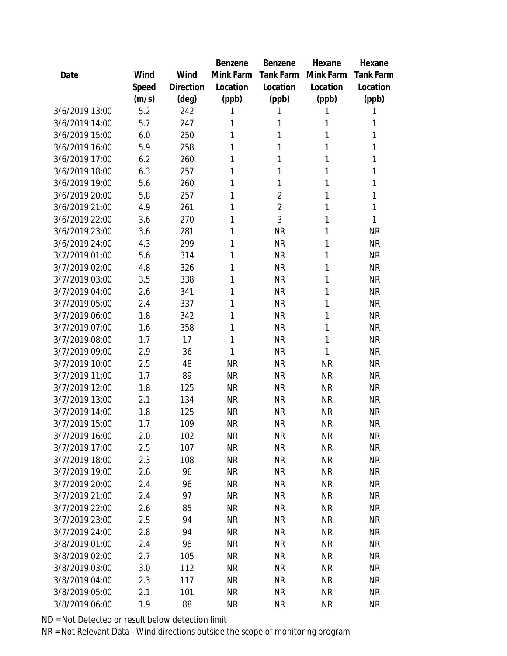|                |       |           | Benzene   | Benzene        | Hexane    | Hexane    |
|----------------|-------|-----------|-----------|----------------|-----------|-----------|
| Date           | Wind  | Wind      | Mink Farm | Tank Farm      | Mink Farm | Tank Farm |
|                | Speed | Direction | Location  | Location       | Location  | Location  |
|                | (m/s) | (deg)     | (ppb)     | (ppb)          | (ppb)     | (ppb)     |
| 3/6/2019 13:00 | 5.2   | 242       | 1         | 1              | 1         | 1         |
| 3/6/2019 14:00 | 5.7   | 247       | 1         | 1              | 1         | 1         |
| 3/6/2019 15:00 | 6.0   | 250       | 1         | 1              | 1         | 1         |
| 3/6/2019 16:00 | 5.9   | 258       | 1         | 1              | 1         | 1         |
| 3/6/2019 17:00 | 6.2   | 260       | 1         | 1              | 1         | 1         |
| 3/6/2019 18:00 | 6.3   | 257       | 1         | 1              | 1         | 1         |
| 3/6/2019 19:00 | 5.6   | 260       | 1         | 1              | 1         | 1         |
| 3/6/2019 20:00 | 5.8   | 257       | 1         | $\overline{2}$ | 1         | 1         |
| 3/6/2019 21:00 | 4.9   | 261       | 1         | $\overline{2}$ | 1         | 1         |
| 3/6/2019 22:00 | 3.6   | 270       | 1         | 3              | 1         | 1         |
| 3/6/2019 23:00 | 3.6   | 281       | 1         | <b>NR</b>      | 1         | <b>NR</b> |
| 3/6/2019 24:00 | 4.3   | 299       | 1         | <b>NR</b>      | 1         | <b>NR</b> |
| 3/7/2019 01:00 | 5.6   | 314       | 1         | <b>NR</b>      | 1         | <b>NR</b> |
| 3/7/2019 02:00 | 4.8   | 326       | 1         | <b>NR</b>      | 1         | <b>NR</b> |
| 3/7/2019 03:00 | 3.5   | 338       | 1         | <b>NR</b>      | 1         | <b>NR</b> |
| 3/7/2019 04:00 | 2.6   | 341       | 1         | <b>NR</b>      | 1         | <b>NR</b> |
| 3/7/2019 05:00 | 2.4   | 337       | 1         | <b>NR</b>      | 1         | <b>NR</b> |
| 3/7/2019 06:00 | 1.8   | 342       | 1         | <b>NR</b>      | 1         | <b>NR</b> |
| 3/7/2019 07:00 | 1.6   | 358       | 1         | <b>NR</b>      | 1         | <b>NR</b> |
| 3/7/2019 08:00 | 1.7   | 17        | 1         | <b>NR</b>      | 1         | <b>NR</b> |
| 3/7/2019 09:00 | 2.9   | 36        | 1         | <b>NR</b>      | 1         | <b>NR</b> |
| 3/7/2019 10:00 | 2.5   | 48        | <b>NR</b> | <b>NR</b>      | <b>NR</b> | <b>NR</b> |
| 3/7/2019 11:00 | 1.7   | 89        | <b>NR</b> | <b>NR</b>      | <b>NR</b> | <b>NR</b> |
| 3/7/2019 12:00 | 1.8   | 125       | <b>NR</b> | <b>NR</b>      | <b>NR</b> | <b>NR</b> |
| 3/7/2019 13:00 | 2.1   | 134       | <b>NR</b> | <b>NR</b>      | <b>NR</b> | <b>NR</b> |
| 3/7/2019 14:00 | 1.8   | 125       | <b>NR</b> | <b>NR</b>      | <b>NR</b> | <b>NR</b> |
| 3/7/2019 15:00 | 1.7   | 109       | <b>NR</b> | <b>NR</b>      | <b>NR</b> | <b>NR</b> |
| 3/7/2019 16:00 | 2.0   | 102       | <b>NR</b> | <b>NR</b>      | <b>NR</b> | <b>NR</b> |
| 3/7/2019 17:00 | 2.5   | 107       | <b>NR</b> | <b>NR</b>      | <b>NR</b> | <b>NR</b> |
| 3/7/2019 18:00 | 2.3   | 108       | <b>NR</b> | <b>NR</b>      | <b>NR</b> | <b>NR</b> |
| 3/7/2019 19:00 | 2.6   | 96        | <b>NR</b> | <b>NR</b>      | <b>NR</b> | <b>NR</b> |
| 3/7/2019 20:00 | 2.4   | 96        | <b>NR</b> | <b>NR</b>      | <b>NR</b> | <b>NR</b> |
| 3/7/2019 21:00 | 2.4   | 97        | <b>NR</b> | <b>NR</b>      | <b>NR</b> | <b>NR</b> |
| 3/7/2019 22:00 | 2.6   | 85        | <b>NR</b> | <b>NR</b>      | <b>NR</b> | <b>NR</b> |
| 3/7/2019 23:00 | 2.5   | 94        | <b>NR</b> | <b>NR</b>      | <b>NR</b> | <b>NR</b> |
| 3/7/2019 24:00 | 2.8   | 94        | <b>NR</b> | <b>NR</b>      | <b>NR</b> | <b>NR</b> |
| 3/8/2019 01:00 | 2.4   | 98        | <b>NR</b> | <b>NR</b>      | <b>NR</b> | <b>NR</b> |
| 3/8/2019 02:00 | 2.7   | 105       | <b>NR</b> | <b>NR</b>      | <b>NR</b> | <b>NR</b> |
| 3/8/2019 03:00 | 3.0   | 112       | <b>NR</b> | <b>NR</b>      | <b>NR</b> | <b>NR</b> |
| 3/8/2019 04:00 | 2.3   | 117       | <b>NR</b> | <b>NR</b>      | <b>NR</b> | <b>NR</b> |
| 3/8/2019 05:00 | 2.1   | 101       | <b>NR</b> | <b>NR</b>      | <b>NR</b> | <b>NR</b> |
| 3/8/2019 06:00 | 1.9   | 88        | <b>NR</b> | <b>NR</b>      | <b>NR</b> | <b>NR</b> |